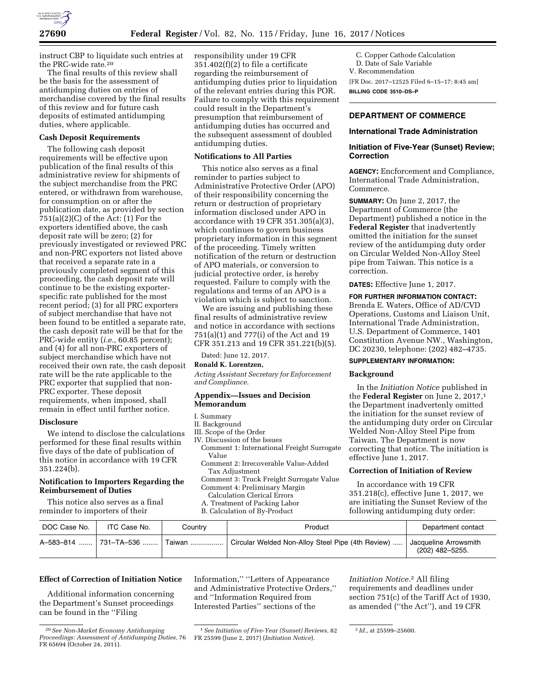

instruct CBP to liquidate such entries at the PRC-wide rate.20

The final results of this review shall be the basis for the assessment of antidumping duties on entries of merchandise covered by the final results of this review and for future cash deposits of estimated antidumping duties, where applicable.

# **Cash Deposit Requirements**

The following cash deposit requirements will be effective upon publication of the final results of this administrative review for shipments of the subject merchandise from the PRC entered, or withdrawn from warehouse, for consumption on or after the publication date, as provided by section  $751(a)(2)(C)$  of the Act:  $(1)$  For the exporters identified above, the cash deposit rate will be zero; (2) for previously investigated or reviewed PRC and non-PRC exporters not listed above that received a separate rate in a previously completed segment of this proceeding, the cash deposit rate will continue to be the existing exporterspecific rate published for the most recent period; (3) for all PRC exporters of subject merchandise that have not been found to be entitled a separate rate, the cash deposit rate will be that for the PRC-wide entity (*i.e.,* 60.85 percent); and (4) for all non-PRC exporters of subject merchandise which have not received their own rate, the cash deposit rate will be the rate applicable to the PRC exporter that supplied that non-PRC exporter. These deposit requirements, when imposed, shall remain in effect until further notice.

### **Disclosure**

We intend to disclose the calculations performed for these final results within five days of the date of publication of this notice in accordance with 19 CFR 351.224(b).

## **Notification to Importers Regarding the Reimbursement of Duties**

This notice also serves as a final reminder to importers of their

responsibility under 19 CFR 351.402(f)(2) to file a certificate regarding the reimbursement of antidumping duties prior to liquidation of the relevant entries during this POR. Failure to comply with this requirement could result in the Department's presumption that reimbursement of antidumping duties has occurred and the subsequent assessment of doubled antidumping duties.

### **Notifications to All Parties**

This notice also serves as a final reminder to parties subject to Administrative Protective Order (APO) of their responsibility concerning the return or destruction of proprietary information disclosed under APO in accordance with 19 CFR 351.305(a)(3), which continues to govern business proprietary information in this segment of the proceeding. Timely written notification of the return or destruction of APO materials, or conversion to judicial protective order, is hereby requested. Failure to comply with the regulations and terms of an APO is a violation which is subject to sanction.

We are issuing and publishing these final results of administrative review and notice in accordance with sections 751(a)(1) and 777(i) of the Act and 19 CFR 351.213 and 19 CFR 351.221(b)(5).

Dated: June 12, 2017.

# **Ronald K. Lorentzen,**

*Acting Assistant Secretary for Enforcement and Compliance.* 

# **Appendix—Issues and Decision Memorandum**

#### I. Summary

- II. Background
- III. Scope of the Order
- IV. Discussion of the Issues
- Comment 1: International Freight Surrogate Value
- Comment 2: Irrecoverable Value-Added Tax Adjustment

Comment 3: Truck Freight Surrogate Value Comment 4: Preliminary Margin

- Calculation Clerical Errors
- A. Treatment of Packing Labor
- B. Calculation of By-Product
- 

C. Copper Cathode Calculation D. Date of Sale Variable V. Recommendation

[FR Doc. 2017–12525 Filed 6–15–17; 8:45 am] **BILLING CODE 3510–DS–P** 

# **DEPARTMENT OF COMMERCE**

#### **International Trade Administration**

# **Initiation of Five-Year (Sunset) Review; Correction**

**AGENCY:** Encforcement and Compliance, International Trade Administration, Commerce.

**SUMMARY:** On June 2, 2017, the Department of Commerce (the Department) published a notice in the **Federal Register** that inadvertently omitted the initiation for the sunset review of the antidumping duty order on Circular Welded Non-Alloy Steel pipe from Taiwan. This notice is a correction.

**DATES:** Effective June 1, 2017.

**FOR FURTHER INFORMATION CONTACT:**  Brenda E. Waters, Office of AD/CVD Operations, Customs and Liaison Unit, International Trade Administration, U.S. Department of Commerce, 1401 Constitution Avenue NW., Washington, DC 20230, telephone: (202) 482–4735.

# **SUPPLEMENTARY INFORMATION:**

#### **Background**

In the *Initiation Notice* published in the **Federal Register** on June 2, 2017,1 the Department inadvertenly omitted the initiation for the sunset review of the antidumping duty order on Circular Welded Non-Alloy Steel Pipe from Taiwan. The Department is now correcting that notice. The initiation is effective June 1, 2017.

### **Correction of Initiation of Review**

In accordance with 19 CFR 351.218(c), effective June 1, 2017, we are initiating the Sunset Review of the following antidumping duty order:

| DOC Case No. | ITC Case No.          | Countrv | Product                                           | Department contact                       |
|--------------|-----------------------|---------|---------------------------------------------------|------------------------------------------|
|              | A-583-814  731-TA-536 | Taiwan  | Circular Welded Non-Alloy Steel Pipe (4th Review) | Jacqueline Arrowsmith<br>(202) 482-5255. |

Information,'' ''Letters of Appearance and Administrative Protective Orders,'' and ''Information Required from Interested Parties'' sections of the

### **Effect of Correction of Initiation Notice**

Additional information concerning the Department's Sunset proceedings can be found in the ''Filing

<sup>20</sup>*See Non-Market Economy Antidumping Proceedings: Assessment of Antidumping Duties,* 76 FR 65694 (October 24, 2011).

<sup>1</sup>*See Initiation of Five-Year (Sunset) Reviews,* 82 FR 25599 (June 2, 2017) (*Initiation Notice*).

*Initiation Notice.*2 All filing requirements and deadlines under section 751(c) of the Tariff Act of 1930, as amended (''the Act''), and 19 CFR

<sup>2</sup> *Id.,* at 25599–25600.